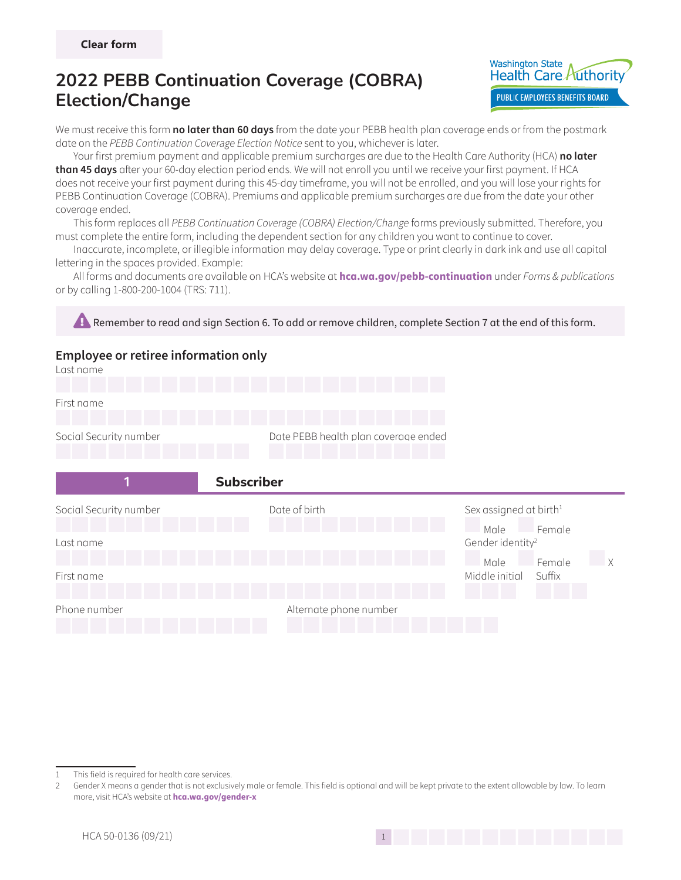

We must receive this form **no later than 60 days** from the date your PEBB health plan coverage ends or from the postmark date on the PEBB Continuation Coverage Election Notice sent to you, whichever is later.

Your first premium payment and applicable premium surcharges are due to the Health Care Authority (HCA) **no later than 45 days** after your 60-day election period ends. We will not enroll you until we receive your first payment. If HCA does not receive your first payment during this 45-day timeframe, you will not be enrolled, and you will lose your rights for PEBB Continuation Coverage (COBRA). Premiums and applicable premium surcharges are due from the date your other coverage ended.

This form replaces all PEBB Continuation Coverage (COBRA) Election/Change forms previously submitted. Therefore, you must complete the entire form, including the dependent section for any children you want to continue to cover.

Inaccurate, incomplete, or illegible information may delay coverage. Type or print clearly in dark ink and use all capital lettering in the spaces provided. Example:

All forms and documents are available on HCA's website at **hca.wa.gov/pebb-continuation** under Forms & publications or by calling 1-800-200-1004 (TRS: 711).

**Example Remember to read and sign Section 6. To add or remove children, complete Section 7 at the end of this form. Employee or retiree information only** Last name First name Social Security number Date PEBB health plan coverage ended **1 1** Subscriber Social Security number The Sex assigned at birth Sex assigned at birth<sup>1</sup> Male Female Last name Gender identity<sup>2</sup> Male Female First name Middle initial Suffix Phone number and a settlement of the Alternate phone number



This field is required for health care services.

<sup>2</sup> Gender X means a gender that is not exclusively male or female. This field is optional and will be kept private to the extent allowable by law. To learn more, visit HCA's website at **hca.wa.gov/gender-x**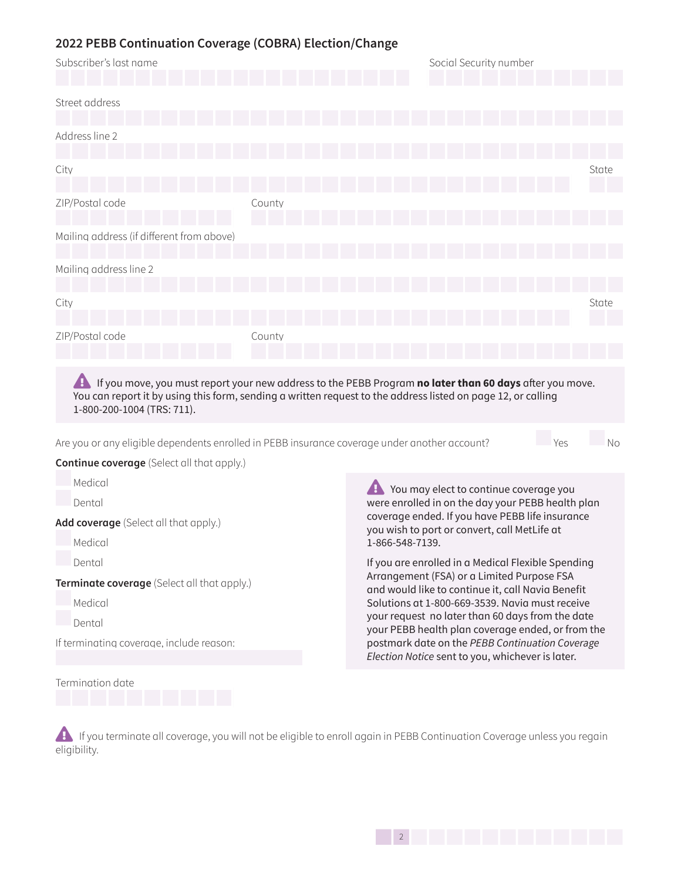| Subscriber's last name                                                                                                                         |        | Social Security number                                                                                                                                                                                                  |  |  |
|------------------------------------------------------------------------------------------------------------------------------------------------|--------|-------------------------------------------------------------------------------------------------------------------------------------------------------------------------------------------------------------------------|--|--|
| Street address                                                                                                                                 |        |                                                                                                                                                                                                                         |  |  |
| Address line 2                                                                                                                                 |        |                                                                                                                                                                                                                         |  |  |
| City                                                                                                                                           |        | State                                                                                                                                                                                                                   |  |  |
| ZIP/Postal code                                                                                                                                | County |                                                                                                                                                                                                                         |  |  |
| Mailing address (if different from above)                                                                                                      |        |                                                                                                                                                                                                                         |  |  |
| Mailing address line 2                                                                                                                         |        |                                                                                                                                                                                                                         |  |  |
| City                                                                                                                                           |        | State                                                                                                                                                                                                                   |  |  |
| ZIP/Postal code                                                                                                                                | County |                                                                                                                                                                                                                         |  |  |
| A<br>1-800-200-1004 (TRS: 711).                                                                                                                |        | If you move, you must report your new address to the PEBB Program no later than 60 days after you move.<br>You can report it by using this form, sending a written request to the address listed on page 12, or calling |  |  |
| Are you or any eligible dependents enrolled in PEBB insurance coverage under another account?                                                  |        | Yes<br>No                                                                                                                                                                                                               |  |  |
| <b>Continue coverage</b> (Select all that apply.)                                                                                              |        |                                                                                                                                                                                                                         |  |  |
| Medical                                                                                                                                        |        | <b>A</b> You may elect to continue coverage you                                                                                                                                                                         |  |  |
| Dental                                                                                                                                         |        | were enrolled in on the day your PEBB health plan                                                                                                                                                                       |  |  |
| Add coverage (Select all that apply.)                                                                                                          |        | coverage ended. If you have PEBB life insurance<br>you wish to port or convert, call MetLife at                                                                                                                         |  |  |
| Medical<br>1-866-548-7139.                                                                                                                     |        |                                                                                                                                                                                                                         |  |  |
| If you are enrolled in a Medical Flexible Spending<br>Dental                                                                                   |        |                                                                                                                                                                                                                         |  |  |
| Arrangement (FSA) or a Limited Purpose FSA<br>Terminate coverage (Select all that apply.)<br>and would like to continue it, call Navia Benefit |        |                                                                                                                                                                                                                         |  |  |
| Medical                                                                                                                                        |        | Solutions at 1-800-669-3539. Navia must receive                                                                                                                                                                         |  |  |
| Dental                                                                                                                                         |        | your request no later than 60 days from the date<br>للتمريح بالمساوي والمستحدث والمستحدث والمستحيل والمتحال والمتحال والمستحد                                                                                           |  |  |

If terminating coverage, include reason:

Termination date

your PEBB health plan coverage ended, or from the postmark date on the PEBB Continuation Coverage Election Notice sent to you, whichever is later.

**A** If you terminate all coverage, you will not be eligible to enroll again in PEBB Continuation Coverage unless you regain eligibility.

 $142$  Page 2 of 1422 Page 2 of 1422 Page 2 of 1422 Page 2 of 1422 Page 2 of 1422 Page 2 of 1422 Page 2 of 1422 Page 2 of 1422 Page 2 of 1422 Page 2 of 1422 Page 2 of 1422 Page 2 of 1422 Page 2 of 1422 Page 2 of 1422 Page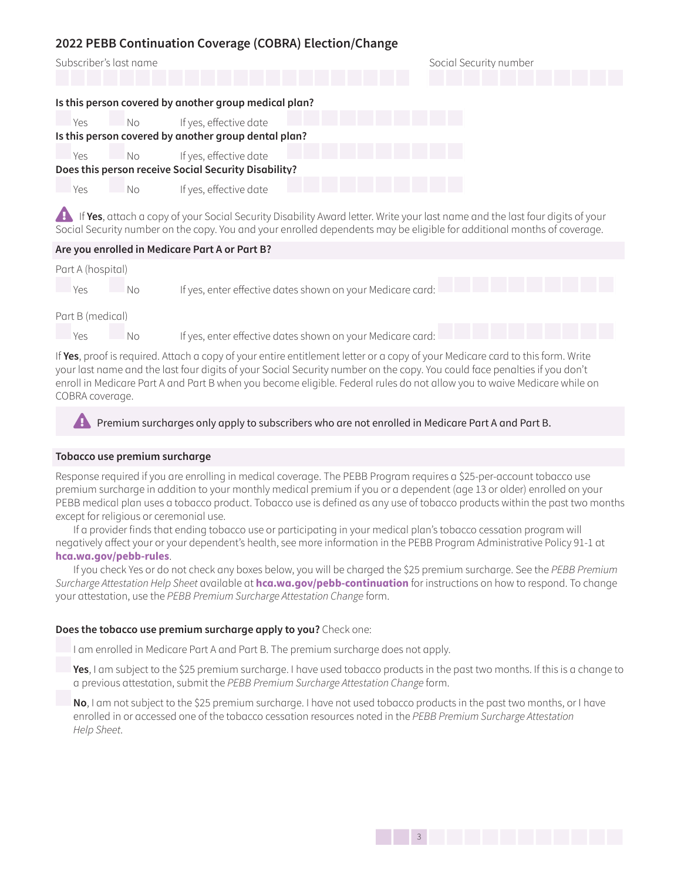| Subscriber's last name |      |                                                       | Social Security number |
|------------------------|------|-------------------------------------------------------|------------------------|
|                        |      | Is this person covered by another group medical plan? |                        |
| Yes                    | – No | If yes, effective date                                |                        |
|                        |      | Is this person covered by another group dental plan?  |                        |
| Yes                    | - No | If yes, effective date                                |                        |
|                        |      | Does this person receive Social Security Disability?  |                        |
| Yes                    | Nο   | If yes, effective date                                |                        |

**Example If Yes**, attach a copy of your Social Security Disability Award letter. Write your last name and the last four digits of your Social Security number on the copy. You and your enrolled dependents may be eligible for additional months of coverage.

### **Are you enrolled in Medicare Part A or Part B?**

| Part A (hospital) |       |                                                            |
|-------------------|-------|------------------------------------------------------------|
| - Yes             | No No | If yes, enter effective dates shown on your Medicare card: |
| Part B (medical)  |       |                                                            |

Yes No If yes, enter effective dates shown on your Medicare card:

If **Yes**, proof is required. Attach a copy of your entire entitlement letter or a copy of your Medicare card to this form. Write your last name and the last four digits of your Social Security number on the copy. You could face penalties if you don't enroll in Medicare Part A and Part B when you become eligible. Federal rules do not allow you to waive Medicare while on COBRA coverage.

**Example Premium surcharges only apply to subscribers who are not enrolled in Medicare Part A and Part B.** 

#### **Tobacco use premium surcharge**

Response required if you are enrolling in medical coverage. The PEBB Program requires a \$25-per-account tobacco use premium surcharge in addition to your monthly medical premium if you or a dependent (age 13 or older) enrolled on your PEBB medical plan uses a tobacco product. Tobacco use is defined as any use of tobacco products within the past two months except for religious or ceremonial use.

If a provider finds that ending tobacco use or participating in your medical plan's tobacco cessation program will negatively affect your or your dependent's health, see more information in the PEBB Program Administrative Policy 91-1 at **hca.wa.gov/pebb-rules**.

If you check Yes or do not check any boxes below, you will be charged the \$25 premium surcharge. See the PEBB Premium Surcharge Attestation Help Sheet available at **hca.wa.gov/pebb-continuation** for instructions on how to respond. To change your attestation, use the PEBB Premium Surcharge Attestation Change form.

### **Does the tobacco use premium surcharge apply to you?** Check one:

I am enrolled in Medicare Part A and Part B. The premium surcharge does not apply.

**Yes**, I am subject to the \$25 premium surcharge. I have used tobacco products in the past two months. If this is a change to a previous attestation, submit the PEBB Premium Surcharge Attestation Change form.

**No**, I am not subject to the \$25 premium surcharge. I have not used tobacco products in the past two months, or I have enrolled in or accessed one of the tobacco cessation resources noted in the PEBB Premium Surcharge Attestation Help Sheet.

143 Page 3 of 143 Page 3 of 143 Page 3 of 143 Page 3 of 143 Page 3 of 143 Page 3 of 143 Page 3 of 143 Page 3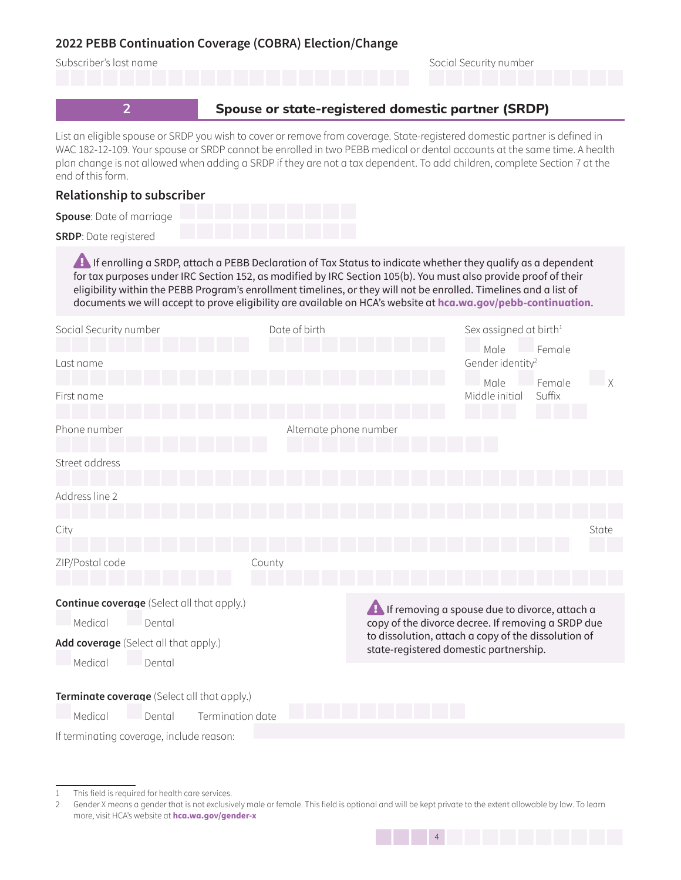

<sup>1</sup> This field is required for health care services.

144 Page 4 of 1444 Page 4 of 1444 Page 4 of 1444 Page 4 of 1444 Page 4 of 1444 Page 4 of 1444 Page 4 of 1444

<sup>2</sup> Gender X means a gender that is not exclusively male or female. This field is optional and will be kept private to the extent allowable by law. To learn more, visit HCA's website at **hca.wa.gov/gender-x**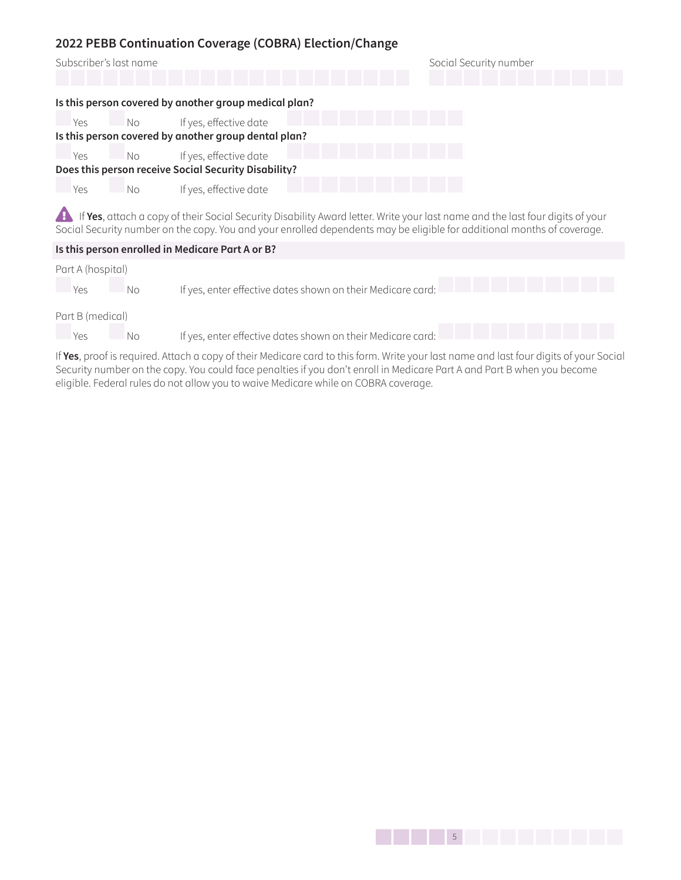|     | Subscriber's last name |                                                       | Social Security number |
|-----|------------------------|-------------------------------------------------------|------------------------|
|     |                        | Is this person covered by another group medical plan? |                        |
| Yes | No No                  | If yes, effective date                                |                        |
|     |                        | Is this person covered by another group dental plan?  |                        |
| Yes | No No                  | If yes, effective date                                |                        |
|     |                        | Does this person receive Social Security Disability?  |                        |
| Yes | No                     | If yes, effective date                                |                        |

**A** If Yes, attach a copy of their Social Security Disability Award letter. Write your last name and the last four digits of your Social Security number on the copy. You and your enrolled dependents may be eligible for additional months of coverage.

| Is this person enrolled in Medicare Part A or B? |    |                                                                                                                                                                                                                                         |  |  |
|--------------------------------------------------|----|-----------------------------------------------------------------------------------------------------------------------------------------------------------------------------------------------------------------------------------------|--|--|
| Part A (hospital)<br>Yes                         | No | If yes, enter effective dates shown on their Medicare card:                                                                                                                                                                             |  |  |
| Part B (medical)                                 |    |                                                                                                                                                                                                                                         |  |  |
| Yes                                              | No | If yes, enter effective dates shown on their Medicare card:                                                                                                                                                                             |  |  |
|                                                  |    | $\mathbf{u}(\mathbf{v})$ . And the contract of the set of the set of the contract of the contract of the contract of the contract of the contract of the contract of the contract of the contract of the contract of the contract of th |  |  |

If **Yes**, proof is required. Attach a copy of their Medicare card to this form. Write your last name and last four digits of your Social Security number on the copy. You could face penalties if you don't enroll in Medicare Part A and Part B when you become eligible. Federal rules do not allow you to waive Medicare while on COBRA coverage.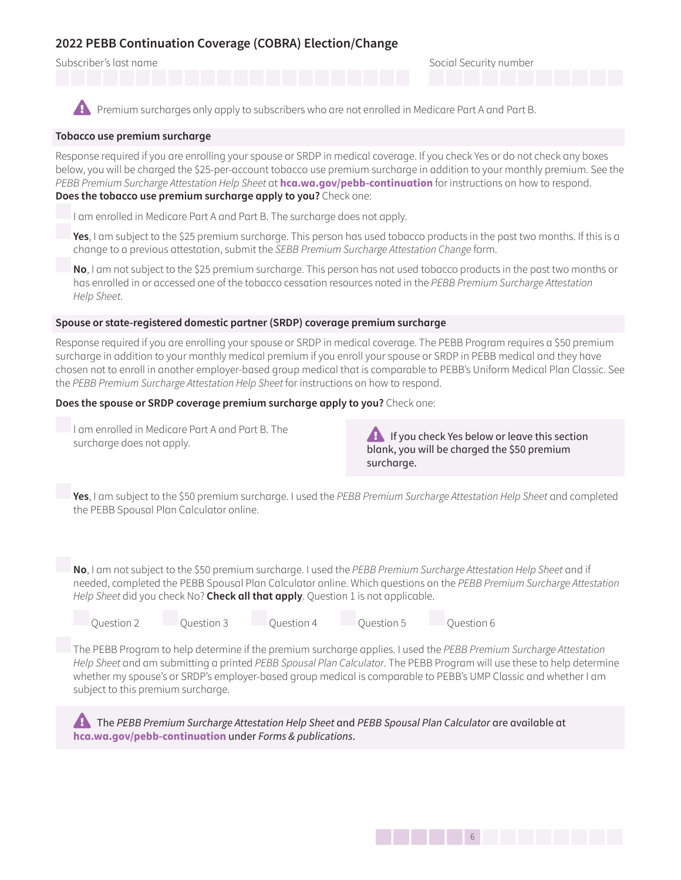Subscriber's last name Social Security number Social Security number

**Example Premium surcharges only apply to subscribers who are not enrolled in Medicare Part A and Part B.** 

### **Tobacco use premium surcharge**

Response required if you are enrolling your spouse or SRDP in medical coverage. If you check Yes or do not check any boxes below, you will be charged the \$25-per-account tobacco use premium surcharge in addition to your monthly premium. See the PEBB Premium Surcharge Attestation Help Sheet at **hca.wa.gov/pebb-continuation** for instructions on how to respond. **Does the tobacco use premium surcharge apply to you?** Check one:

I am enrolled in Medicare Part A and Part B. The surcharge does not apply.

**Yes**, I am subject to the \$25 premium surcharge. This person has used tobacco products in the past two months. If this is a change to a previous attestation, submit the SEBB Premium Surcharge Attestation Change form.

**No**, I am not subject to the \$25 premium surcharge. This person has not used tobacco products in the past two months or has enrolled in or accessed one of the tobacco cessation resources noted in the PEBB Premium Surcharge Attestation Help Sheet.

#### **Spouse or state-registered domestic partner (SRDP) coverage premium surcharge**

Response required if you are enrolling your spouse or SRDP in medical coverage. The PEBB Program requires a \$50 premium surcharge in addition to your monthly medical premium if you enroll your spouse or SRDP in PEBB medical and they have chosen not to enroll in another employer-based group medical that is comparable to PEBB's Uniform Medical Plan Classic. See the PEBB Premium Surcharge Attestation Help Sheet for instructions on how to respond.

**Does the spouse or SRDP coverage premium surcharge apply to you?** Check one:

I am enrolled in Medicare Part A and Part B. The

surcharge does not apply.<br>Surcharge does not apply. blank, you will be charged the \$50 premium surcharge.

**Yes**, I am subject to the \$50 premium surcharge. I used the PEBB Premium Surcharge Attestation Help Sheet and completed the PEBB Spousal Plan Calculator online.

**No**, I am not subject to the \$50 premium surcharge. I used the PEBB Premium Surcharge Attestation Help Sheet and if needed, completed the PEBB Spousal Plan Calculator online. Which questions on the PEBB Premium Surcharge Attestation Help Sheet did you check No? **Check all that apply**. Question 1 is not applicable.

Question 2 Question 3 Question 4 Question 5 Question 6

The PEBB Program to help determine if the premium surcharge applies. I used the PEBB Premium Surcharge Attestation Help Sheet and am submitting a printed PEBB Spousal Plan Calculator. The PEBB Program will use these to help determine whether my spouse's or SRDP's employer-based group medical is comparable to PEBB's UMP Classic and whether I am subject to this premium surcharge.

**External The PEBB Premium Surcharge Attestation Help Sheet and PEBB Spousal Plan Calculator are available at hca.wa.gov/pebb-continuation** under Forms & publications.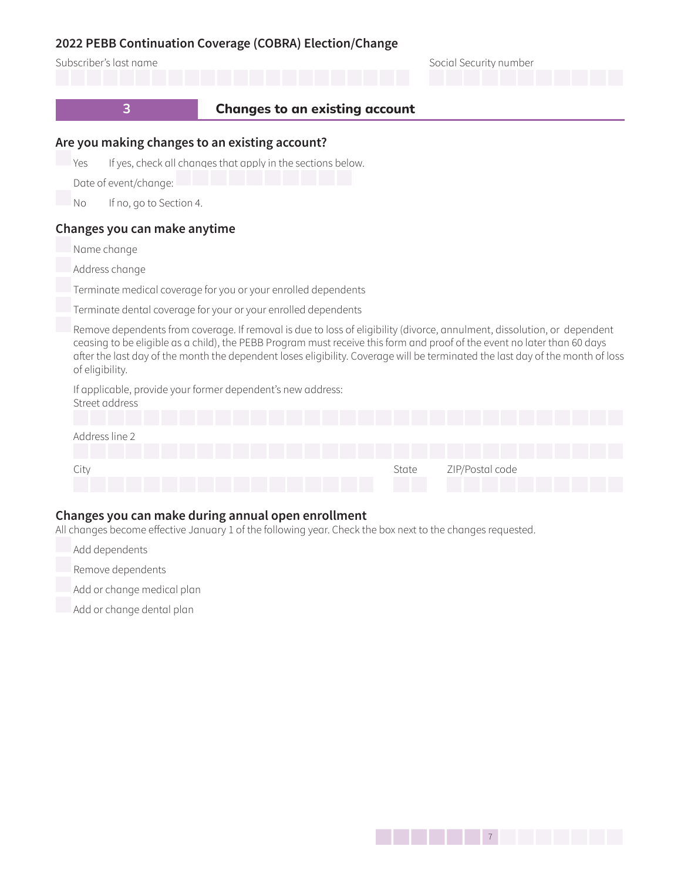



### **Changes you can make during annual open enrollment**

All changes become effective January 1 of the following year. Check the box next to the changes requested.

City **State ZIP/Postal code** City **State ZIP/Postal code** 

- Add dependents
- Remove dependents
- Add or change medical plan
- Add or change dental plan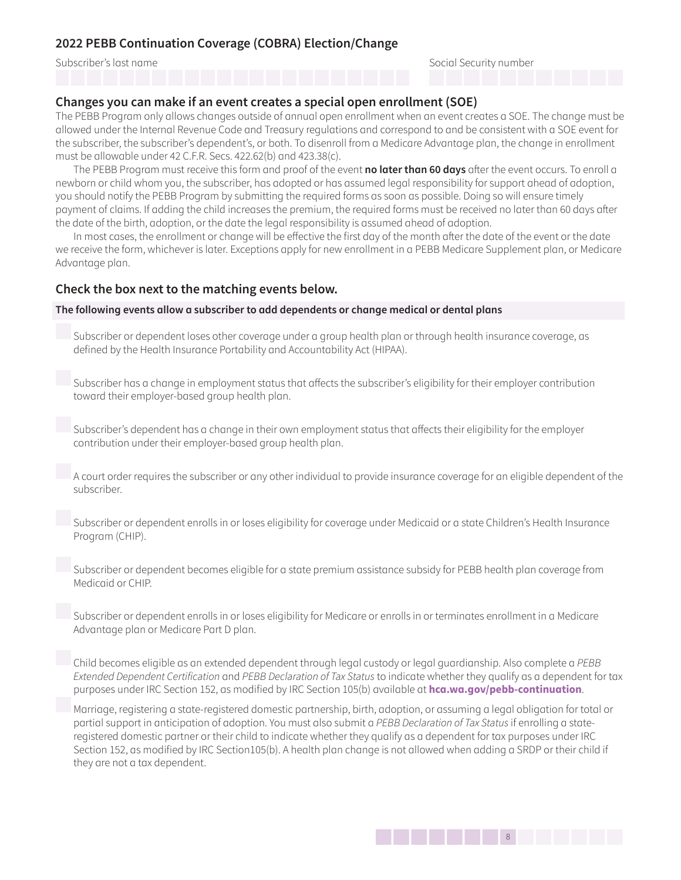Subscriber's last name Social Security number

### **Changes you can make if an event creates a special open enrollment (SOE)**

The PEBB Program only allows changes outside of annual open enrollment when an event creates a SOE. The change must be allowed under the Internal Revenue Code and Treasury regulations and correspond to and be consistent with a SOE event for the subscriber, the subscriber's dependent's, or both. To disenroll from a Medicare Advantage plan, the change in enrollment must be allowable under 42 C.F.R. Secs. 422.62(b) and 423.38(c).

The PEBB Program must receive this form and proof of the event **no later than 60 days** after the event occurs. To enroll a newborn or child whom you, the subscriber, has adopted or has assumed legal responsibility for support ahead of adoption, you should notify the PEBB Program by submitting the required forms as soon as possible. Doing so will ensure timely payment of claims. If adding the child increases the premium, the required forms must be received no later than 60 days after the date of the birth, adoption, or the date the legal responsibility is assumed ahead of adoption.

In most cases, the enrollment or change will be effective the first day of the month after the date of the event or the date we receive the form, whichever is later. Exceptions apply for new enrollment in a PEBB Medicare Supplement plan, or Medicare Advantage plan.

### **Check the box next to the matching events below.**

#### **The following events allow a subscriber to add dependents or change medical or dental plans**

 Subscriber or dependent loses other coverage under a group health plan or through health insurance coverage, as defined by the Health Insurance Portability and Accountability Act (HIPAA).

 Subscriber has a change in employment status that affects the subscriber's eligibility for their employer contribution toward their employer-based group health plan.

 Subscriber's dependent has a change in their own employment status that affects their eligibility for the employer contribution under their employer-based group health plan.

 A court order requires the subscriber or any other individual to provide insurance coverage for an eligible dependent of the subscriber.

 Subscriber or dependent enrolls in or loses eligibility for coverage under Medicaid or a state Children's Health Insurance Program (CHIP).

 Subscriber or dependent becomes eligible for a state premium assistance subsidy for PEBB health plan coverage from Medicaid or CHIP.

 Subscriber or dependent enrolls in or loses eligibility for Medicare or enrolls in or terminates enrollment in a Medicare Advantage plan or Medicare Part D plan.

 Child becomes eligible as an extended dependent through legal custody or legal guardianship. Also complete a *PEBB*  Extended Dependent Certification and PEBB Declaration of Tax Status to indicate whether they qualify as a dependent for tax purposes under IRC Section 152, as modified by IRC Section 105(b) available at **hca.wa.gov/pebb-continuation**.

 Marriage, registering a state-registered domestic partnership, birth, adoption, or assuming a legal obligation for total or partial support in anticipation of adoption. You must also submit a PEBB Declaration of Tax Status if enrolling a stateregistered domestic partner or their child to indicate whether they qualify as a dependent for tax purposes under IRC Section 152, as modified by IRC Section105(b). A health plan change is not allowed when adding a SRDP or their child if they are not a tax dependent.

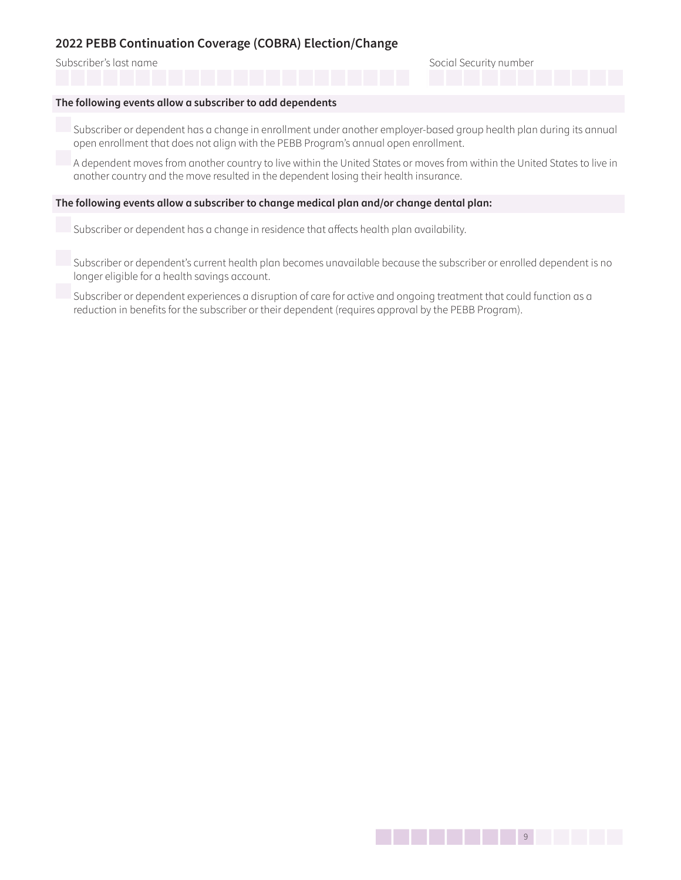Subscriber's last name Social Security number Social Security number

#### **The following events allow a subscriber to add dependents**

 Subscriber or dependent has a change in enrollment under another employer-based group health plan during its annual open enrollment that does not align with the PEBB Program's annual open enrollment.

 A dependent moves from another country to live within the United States or moves from within the United States to live in another country and the move resulted in the dependent losing their health insurance.

#### **The following events allow a subscriber to change medical plan and/or change dental plan:**

Subscriber or dependent has a change in residence that affects health plan availability.

 Subscriber or dependent's current health plan becomes unavailable because the subscriber or enrolled dependent is no longer eligible for a health savings account.

 Subscriber or dependent experiences a disruption of care for active and ongoing treatment that could function as a reduction in benefits for the subscriber or their dependent (requires approval by the PEBB Program).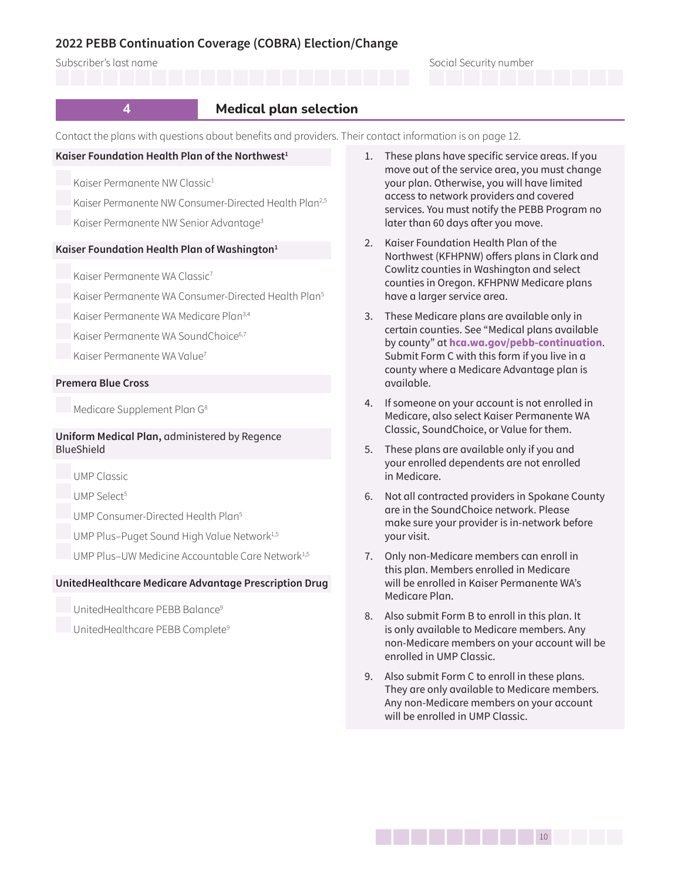#### Subscriber's last name Social Security number



Contact the plans with questions about benefits and providers. Their contact information is on [page 12](#page-11-1).

#### **Kaiser Foundation Health Plan of the Northwest[1](#page-9-0)**

Kaiser Permanente NW Classic<sup>[1](#page-9-0)</sup>

Kaiser Permanente NW Consumer-Directed Health Plan<sup>[2](#page-9-1),[5](#page-9-2)</sup>

Kaiser Permanente NW Senior Advantage<sup>[3](#page-9-3)</sup>

#### **Kaiser Foundation Health Plan of Washington[1](#page-9-0)**

Kaiser Permanente WA Classic<sup>[7](#page-9-4)</sup>

Kaiser Permanente WA Consumer-Directed Health Plan[5](#page-9-2)

Kaiser Permanente WA Medicare Plan[3](#page-9-3)[,4](#page-9-5)

Kaiser Permanente WA SoundChoice<sup>[6](#page-9-6),[7](#page-9-4)</sup>

Kaiser Permanente WA Value<sup>7</sup>

#### **Premera Blue Cross**

Medicare Supplement Plan G[8](#page-9-7)

### **Uniform Medical Plan,** administered by Regence BlueShield

UMP Classic

UMP Select<sup>[5](#page-9-2)</sup>

UMP Consumer-Directed Health Plan[5](#page-9-2)

UMP Plus-Puget Sound High Value Network<sup>[1](#page-9-0),[5](#page-9-2)</sup>

UMP Plus-UW Medicine Accountable Care Network<sup>[1](#page-9-0),[5](#page-9-2)</sup>

#### **UnitedHealthcare Medicare Advantage Prescription Drug**

UnitedHealthcare PEBB Balance[9](#page-9-8)

UnitedHealthcare PEBB Complete[9](#page-9-8)

- <span id="page-9-0"></span>1. These plans have specific service areas. If you move out of the service area, you must change your plan. Otherwise, you will have limited access to network providers and covered services. You must notify the PEBB Program no later than 60 days after you move.
- <span id="page-9-1"></span>2. Kaiser Foundation Health Plan of the Northwest (KFHPNW) offers plans in Clark and Cowlitz counties in Washington and select counties in Oregon. KFHPNW Medicare plans have a larger service area.
- <span id="page-9-3"></span>3. These Medicare plans are available only in certain counties. See "Medical plans available by county" at **hca.wa.gov/pebb-continuation**. Submit Form C with this form if you live in a county where a Medicare Advantage plan is available.
- <span id="page-9-5"></span>4. If someone on your account is not enrolled in Medicare, also select Kaiser Permanente WA Classic, SoundChoice, or Value for them.
- <span id="page-9-2"></span>5. These plans are available only if you and your enrolled dependents are not enrolled in Medicare.
- <span id="page-9-6"></span>6. Not all contracted providers in Spokane County are in the SoundChoice network. Please make sure your provider is in-network before your visit.
- <span id="page-9-4"></span>7. Only non-Medicare members can enroll in this plan. Members enrolled in Medicare will be enrolled in Kaiser Permanente WA's Medicare Plan.
- <span id="page-9-7"></span>8. Also submit Form B to enroll in this plan. It is only available to Medicare members. Any non-Medicare members on your account will be enrolled in UMP Classic.
- <span id="page-9-8"></span>9. Also submit Form C to enroll in these plans. They are only available to Medicare members. Any non-Medicare members on your account will be enrolled in UMP Classic.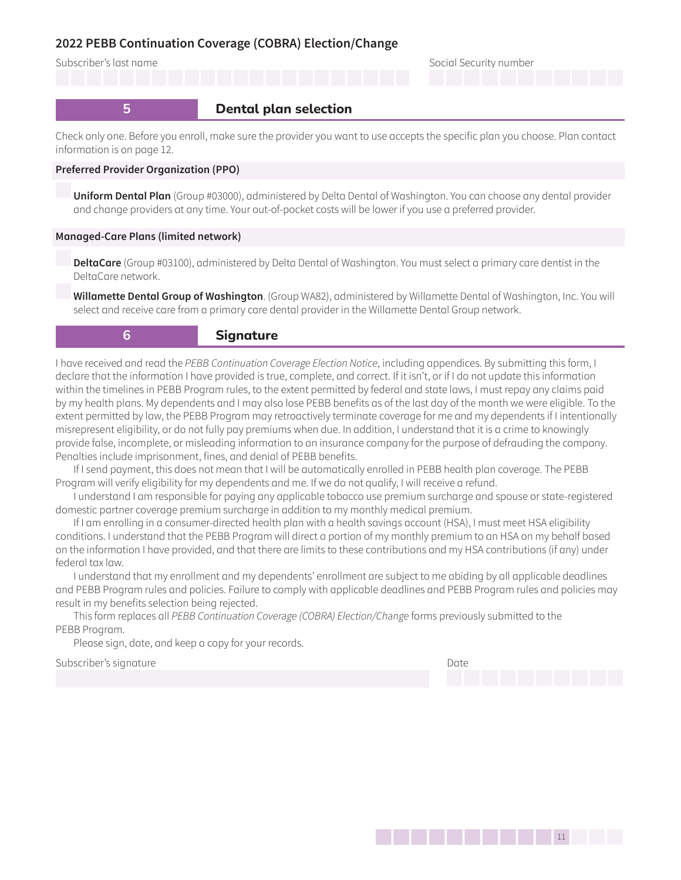Subscriber's last name Social Security number

# **5 Dental plan selection**

Check only one. Before you enroll, make sure the provider you want to use accepts the specific plan you choose. Plan contact information is on [page 12](#page-11-2).

#### **Preferred Provider Organization (PPO)**

**Uniform Dental Plan** (Group #03000), administered by Delta Dental of Washington. You can choose any dental provider and change providers at any time. Your out-of-pocket costs will be lower if you use a preferred provider.

#### **Managed-Care Plans (limited network)**

**DeltaCare** (Group #03100), administered by Delta Dental of Washington. You must select a primary care dentist in the DeltaCare network.

**Willamette Dental Group of Washington**. (Group WA82), administered by Willamette Dental of Washington, Inc. You will select and receive care from a primary care dental provider in the Willamette Dental Group network.

**6 b Signature** 

I have received and read the PEBB Continuation Coverage Election Notice, including appendices. By submitting this form, I declare that the information I have provided is true, complete, and correct. If it isn't, or if I do not update this information within the timelines in PEBB Program rules, to the extent permitted by federal and state laws, I must repay any claims paid by my health plans. My dependents and I may also lose PEBB benefits as of the last day of the month we were eligible. To the extent permitted by law, the PEBB Program may retroactively terminate coverage for me and my dependents if I intentionally misrepresent eligibility, or do not fully pay premiums when due. In addition, I understand that it is a crime to knowingly provide false, incomplete, or misleading information to an insurance company for the purpose of defrauding the company. Penalties include imprisonment, fines, and denial of PEBB benefits.

If I send payment, this does not mean that I will be automatically enrolled in PEBB health plan coverage. The PEBB Program will verify eligibility for my dependents and me. If we do not qualify, I will receive a refund.

I understand I am responsible for paying any applicable tobacco use premium surcharge and spouse or state-registered domestic partner coverage premium surcharge in addition to my monthly medical premium.

If I am enrolling in a consumer-directed health plan with a health savings account (HSA), I must meet HSA eligibility conditions. I understand that the PEBB Program will direct a portion of my monthly premium to an HSA on my behalf based on the information I have provided, and that there are limits to these contributions and my HSA contributions (if any) under federal tax law.

I understand that my enrollment and my dependents' enrollment are subject to me abiding by all applicable deadlines and PEBB Program rules and policies. Failure to comply with applicable deadlines and PEBB Program rules and policies may result in my benefits selection being rejected.

This form replaces all PEBB Continuation Coverage (COBRA) Election/Change forms previously submitted to the PEBB Program.

Please sign, date, and keep a copy for your records.

Subscriber's signature Date Date of the Date of the Date of the Date of the Date of the Date of the Date of the Date of the Date of the Date of the Date of the Date of the Date of the Date of the Date of the Date of the Da

141111Page 11 of 14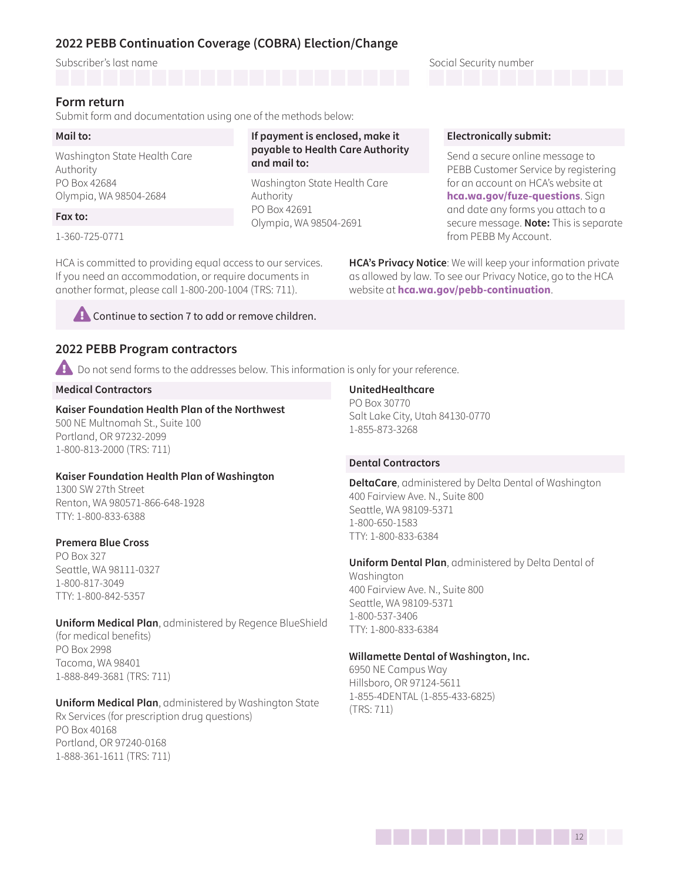Subscriber's last name Social Security number Social Security number

### <span id="page-11-0"></span>**Form return**

Submit form and documentation using one of the methods below:

### **Mail to:**

Washington State Health Care Authority PO Box 42684 Olympia, WA 98504-2684

### **Fax to:**

1-360-725-0771

HCA is committed to providing equal access to our services. If you need an accommodation, or require documents in another format, please call 1-800-200-1004 (TRS: 711).

**example 2** Continue to section 7 to add or remove children.

## <span id="page-11-1"></span>**2022 PEBB Program contractors**

**A** Do not send forms to the addresses below. This information is only for your reference.

**If payment is enclosed, make it payable to Health Care Authority** 

Washington State Health Care

Olympia, WA 98504-2691

**and mail to:** 

Authority PO Box 42691

### **Medical Contractors**

## **Kaiser Foundation Health Plan of the Northwest**

500 NE Multnomah St., Suite 100 Portland, OR 97232-2099 1-800-813-2000 (TRS: 711)

### **Kaiser Foundation Health Plan of Washington**

1300 SW 27th Street Renton, WA 980571-866-648-1928 TTY: 1-800-833-6388

#### **Premera Blue Cross**

PO Box 327 Seattle, WA 98111-0327 1-800-817-3049 TTY: 1-800-842-5357

**Uniform Medical Plan**, administered by Regence BlueShield (for medical benefits) PO Box 2998 Tacoma, WA 98401 1-888-849-3681 (TRS: 711)

**Uniform Medical Plan**, administered by Washington State Rx Services (for prescription drug questions) PO Box 40168 Portland, OR 97240-0168 1-888-361-1611 (TRS: 711)

#### **UnitedHealthcare**

PO Box 30770 Salt Lake City, Utah 84130-0770 1-855-873-3268

#### <span id="page-11-2"></span>**Dental Contractors**

**DeltaCare**, administered by Delta Dental of Washington 400 Fairview Ave. N., Suite 800 Seattle, WA 98109-5371 1-800-650-1583 TTY: 1-800-833-6384

**Uniform Dental Plan**, administered by Delta Dental of Washington 400 Fairview Ave. N., Suite 800 Seattle, WA 98109-5371 1-800-537-3406 TTY: 1-800-833-6384

1412 **12** 

#### **Willamette Dental of Washington, Inc.**

6950 NE Campus Way Hillsboro, OR 97124-5611 1-855-4DENTAL (1-855-433-6825) (TRS: 711)

### **Electronically submit:**

Send a secure online message to PEBB Customer Service by registering for an account on HCA's website at **hca.wa.gov/fuze-questions**. Sign and date any forms you attach to a secure message. **Note:** This is separate from PEBB My Account.

**HCA's Privacy Notice**: We will keep your information private as allowed by law. To see our Privacy Notice, go to the HCA website at **hca.wa.gov/pebb-continuation**.

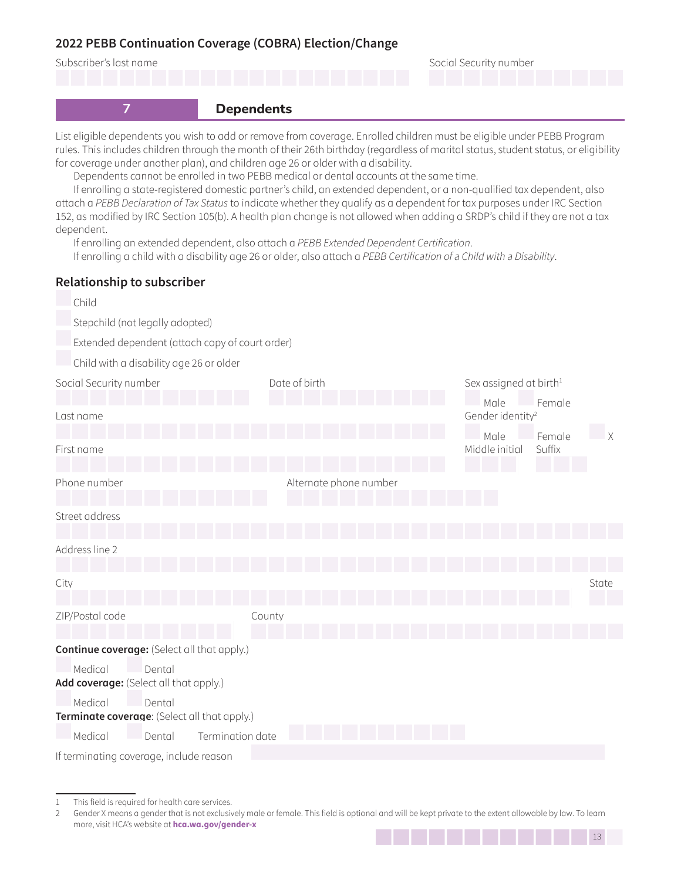

List eligible dependents you wish to add or remove from coverage. Enrolled children must be eligible under PEBB Program rules. This includes children through the month of their 26th birthday (regardless of marital status, student status, or eligibility for coverage under another plan), and children age 26 or older with a disability.

Dependents cannot be enrolled in two PEBB medical or dental accounts at the same time.

If enrolling a state-registered domestic partner's child, an extended dependent, or a non-qualified tax dependent, also attach a PEBB Declaration of Tax Status to indicate whether they qualify as a dependent for tax purposes under IRC Section 152, as modified by IRC Section 105(b). A health plan change is not allowed when adding a SRDP's child if they are not a tax dependent.

If enrolling an extended dependent, also attach a PEBB Extended Dependent Certification.

If enrolling a child with a disability age 26 or older, also attach a PEBB Certification of a Child with a Disability.

## **Relationship to subscriber**

| Child                                                             |                                                 |                                      |        |              |  |
|-------------------------------------------------------------------|-------------------------------------------------|--------------------------------------|--------|--------------|--|
| Stepchild (not legally adopted)                                   |                                                 |                                      |        |              |  |
|                                                                   | Extended dependent (attach copy of court order) |                                      |        |              |  |
| Child with a disability age 26 or older                           |                                                 |                                      |        |              |  |
| Social Security number                                            | Date of birth                                   | Sex assigned at birth <sup>1</sup>   |        |              |  |
| Last name                                                         |                                                 | Male<br>Gender identity <sup>2</sup> | Female |              |  |
|                                                                   |                                                 | Male                                 | Female | $\mathsf{X}$ |  |
| First name                                                        |                                                 | Middle initial                       | Suffix |              |  |
| Phone number                                                      | Alternate phone number                          |                                      |        |              |  |
| Street address                                                    |                                                 |                                      |        |              |  |
| Address line 2                                                    |                                                 |                                      |        |              |  |
| City                                                              |                                                 |                                      |        | State        |  |
| ZIP/Postal code                                                   | County                                          |                                      |        |              |  |
| <b>Continue coverage:</b> (Select all that apply.)                |                                                 |                                      |        |              |  |
| Medical<br>Dental<br>Add coverage: (Select all that apply.)       |                                                 |                                      |        |              |  |
| Medical<br>Dental<br>Terminate coverage: (Select all that apply.) |                                                 |                                      |        |              |  |
| Medical<br>Termination date<br>Dental                             |                                                 |                                      |        |              |  |
| If terminating coverage, include reason                           |                                                 |                                      |        |              |  |

1413 Page 13 of 14 13 14 14 15 16 17 17 18

<sup>1</sup> This field is required for health care services.

<sup>2</sup> Gender X means a gender that is not exclusively male or female. This field is optional and will be kept private to the extent allowable by law. To learn more, visit HCA's website at **hca.wa.gov/gender-x**